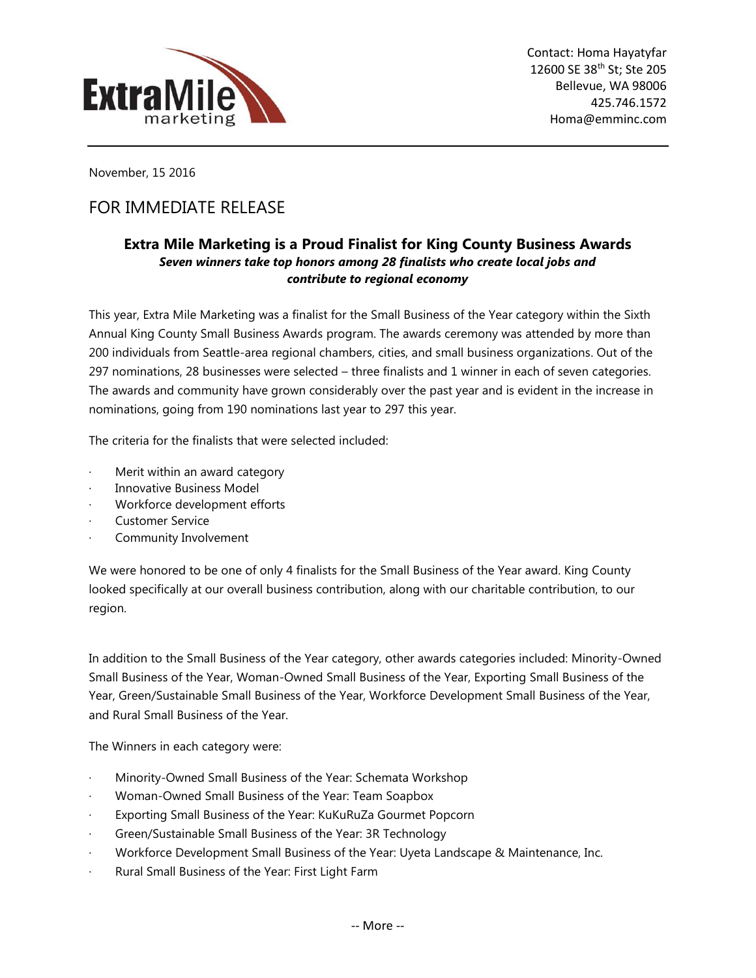

November, 15 2016

## FOR IMMEDIATE RELEASE

## **Extra Mile Marketing is a Proud Finalist for King County Business Awards** *Seven winners take top honors among 28 finalists who create local jobs and contribute to regional economy*

This year, Extra Mile Marketing was a finalist for the Small Business of the Year category within the Sixth Annual King County Small Business Awards program. The awards ceremony was attended by more than 200 individuals from Seattle-area regional chambers, cities, and small business organizations. Out of the 297 nominations, 28 businesses were selected – three finalists and 1 winner in each of seven categories. The awards and community have grown considerably over the past year and is evident in the increase in nominations, going from 190 nominations last year to 297 this year.

The criteria for the finalists that were selected included:

- Merit within an award category
- Innovative Business Model
- Workforce development efforts
- Customer Service
- Community Involvement

We were honored to be one of only 4 finalists for the Small Business of the Year award. King County looked specifically at our overall business contribution, along with our charitable contribution, to our region.

In addition to the Small Business of the Year category, other awards categories included: Minority-Owned Small Business of the Year, Woman-Owned Small Business of the Year, Exporting Small Business of the Year, Green/Sustainable Small Business of the Year, Workforce Development Small Business of the Year, and Rural Small Business of the Year.

The Winners in each category were:

- Minority-Owned Small Business of the Year: Schemata Workshop
- · Woman-Owned Small Business of the Year: Team Soapbox
- Exporting Small Business of the Year: KuKuRuZa Gourmet Popcorn
- · Green/Sustainable Small Business of the Year: 3R Technology
- · Workforce Development Small Business of the Year: Uyeta Landscape & Maintenance, Inc.
- Rural Small Business of the Year: First Light Farm